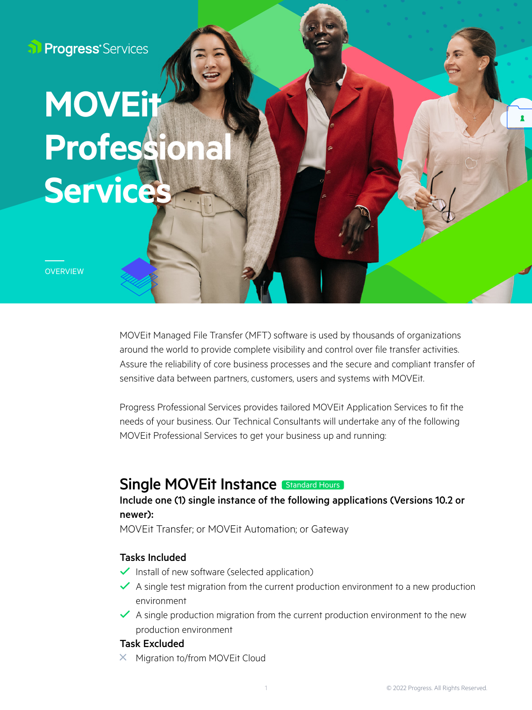**Progress** Services

# Services **MOVE Professio**

**OVERVIEW** 

MOVEit Managed File Transfer (MFT) software is used by thousands of organizations around the world to provide complete visibility and control over file transfer activities. Assure the reliability of core business processes and the secure and compliant transfer of sensitive data between partners, customers, users and systems with MOVEit.

Progress Professional Services provides tailored MOVEit Application Services to fit the needs of your business. Our Technical Consultants will undertake any of the following MOVEit Professional Services to get your business up and running:

# Single MOVEit Instance **Standard Hours**

### Include one (1) single instance of the following applications (Versions 10.2 or newer):

MOVEit Transfer; or MOVEit Automation; or Gateway

#### Tasks Included

- $\checkmark$  Install of new software (selected application)
- $\blacktriangleright$  A single test migration from the current production environment to a new production environment
- $\blacktriangleright$  A single production migration from the current production environment to the new production environment

#### Task Excluded

 $\times$  Migration to/from MOVEit Cloud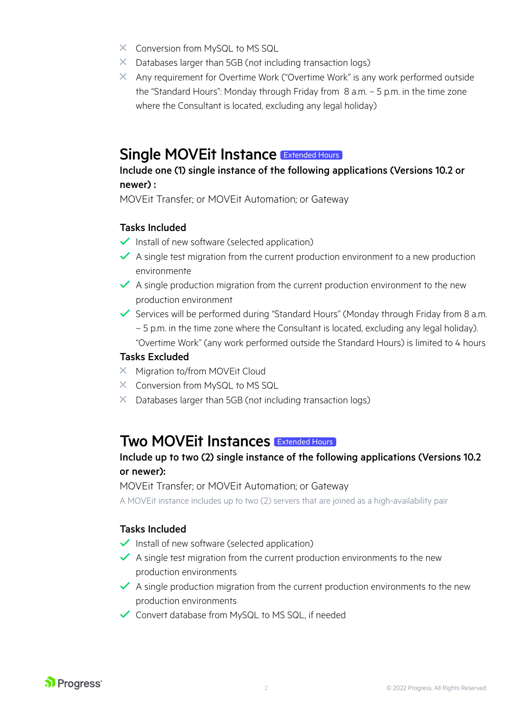- $\times$  Conversion from MySQL to MS SQL
- $\times$  Databases larger than 5GB (not including transaction logs)
- $\times$  Any requirement for Overtime Work ("Overtime Work" is any work performed outside the "Standard Hours": Monday through Friday from 8 a.m. – 5 p.m. in the time zone where the Consultant is located, excluding any legal holiday)

# Single MOVEit Instance Extended Hours

## Include one (1) single instance of the following applications (Versions 10.2 or newer) :

MOVEit Transfer; or MOVEit Automation; or Gateway

#### Tasks Included

- $\checkmark$  Install of new software (selected application)
- $\blacktriangleright$  A single test migration from the current production environment to a new production environmente
- $\blacktriangleright$  A single production migration from the current production environment to the new production environment
- Services will be performed during "Standard Hours" (Monday through Friday from 8 a.m. – 5 p.m. in the time zone where the Consultant is located, excluding any legal holiday). "Overtime Work" (any work performed outside the Standard Hours) is limited to 4 hours

#### Tasks Excluded

- $\times$  Migration to/from MOVEit Cloud
- $\times$  Conversion from MySQL to MS SQL
- $\times$  Databases larger than 5GB (not including transaction logs)

# Two MOVEit Instances Extended Hours

## Include up to two (2) single instance of the following applications (Versions 10.2 or newer):

MOVEit Transfer; or MOVEit Automation; or Gateway

A MOVEit instance includes up to two (2) servers that are joined as a high-availability pair

## Tasks Included

- $\checkmark$  Install of new software (selected application)
- $\blacktriangleright$  A single test migration from the current production environments to the new production environments
- $\blacktriangleright$  A single production migration from the current production environments to the new production environments
- $\checkmark$  Convert database from MySQL to MS SQL, if needed